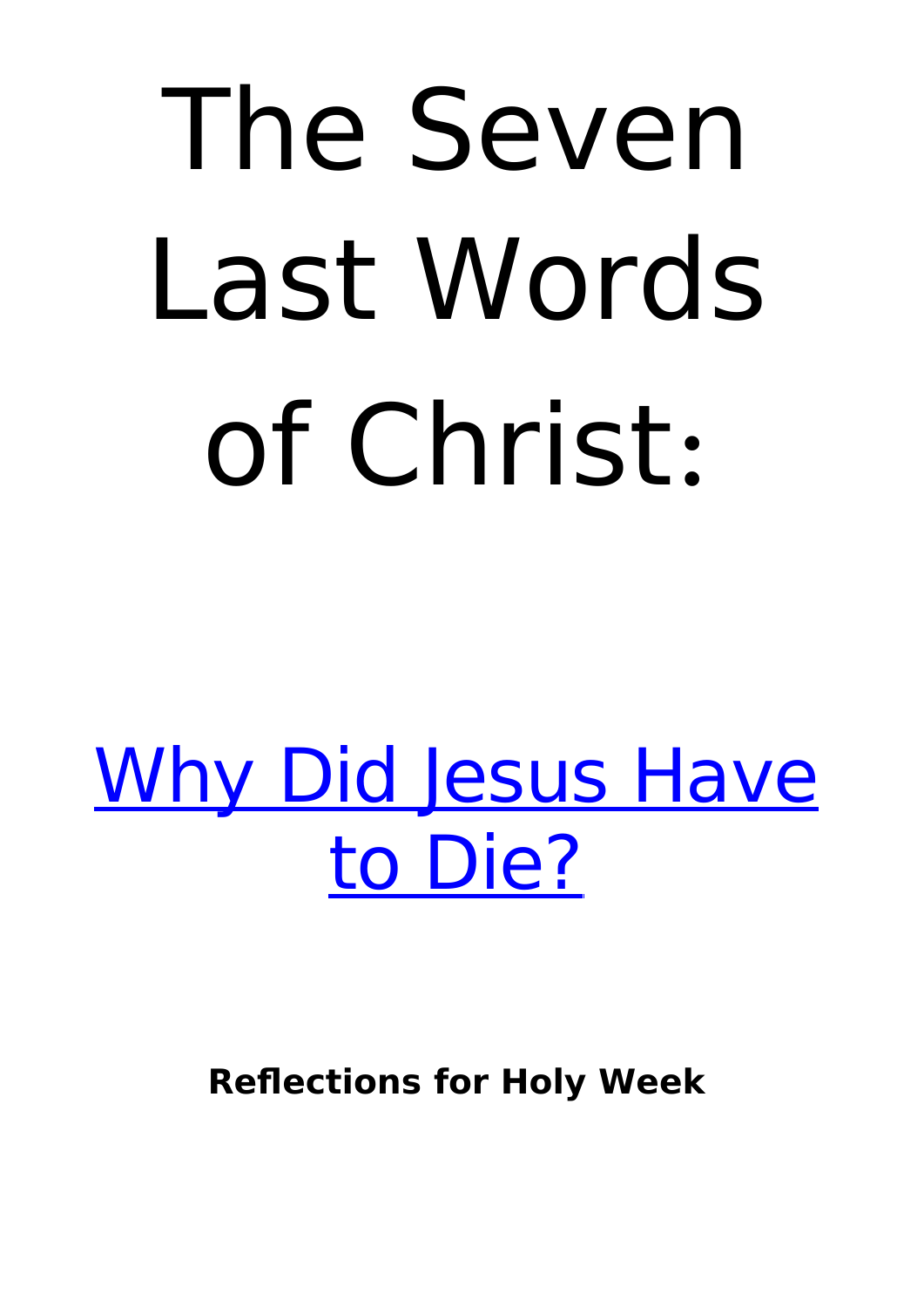# The Seven Last Words of Christ:

[Why Did Jesus Have](http://www.patheos.com/blogs/markdroberts/series/the-seven-last-words-of-christ-reflections-for-holy-week/www.patheos.com/blogs/markdroberts/series/why-did-jesus-have-to-die/) [to Die?](http://www.patheos.com/blogs/markdroberts/series/the-seven-last-words-of-christ-reflections-for-holy-week/www.patheos.com/blogs/markdroberts/series/why-did-jesus-have-to-die/)

**Reflections for Holy Week**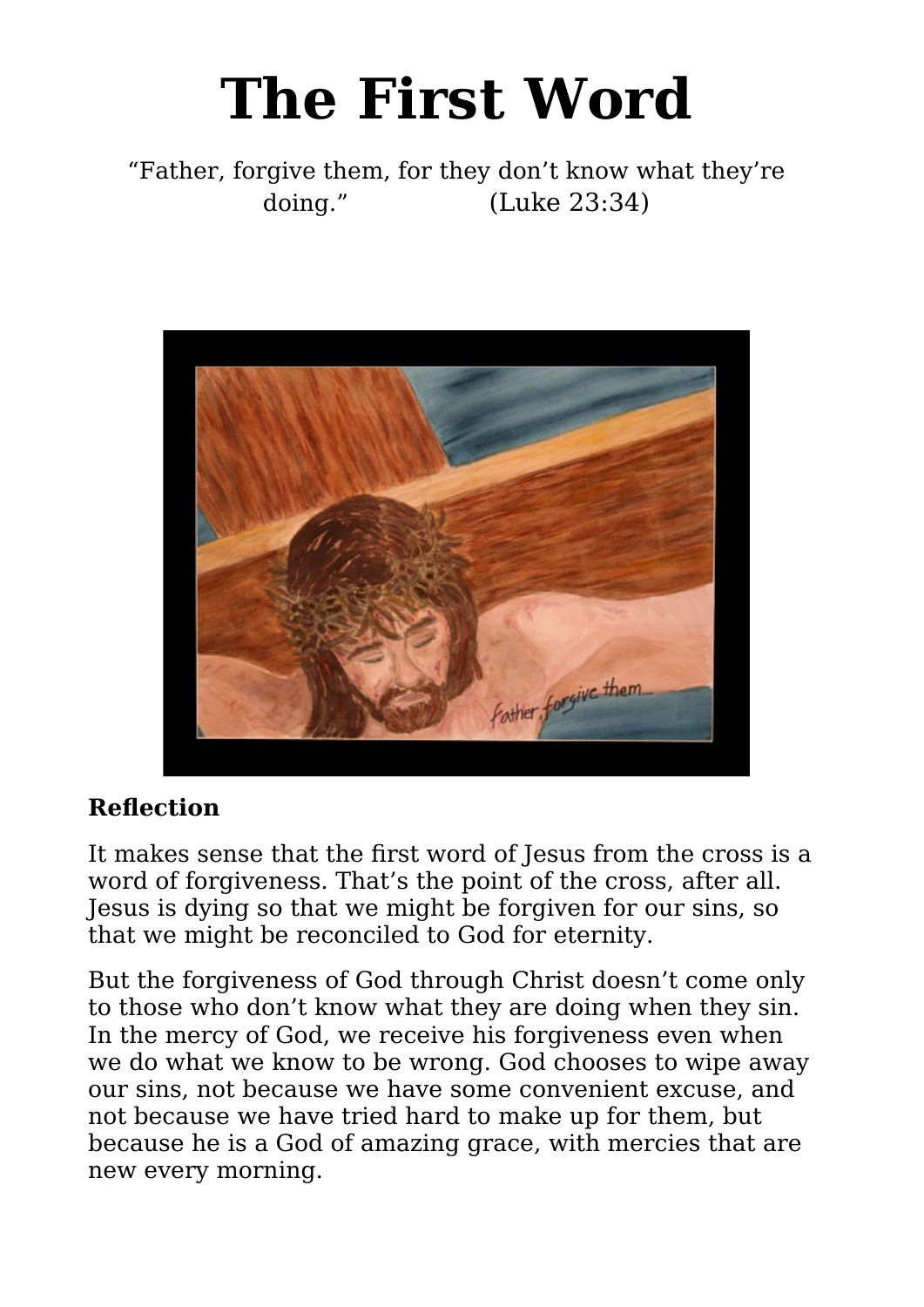# **The First Word**

"Father, forgive them, for they don't know what they're doing." (Luke 23:34)



#### **Reflection**

It makes sense that the first word of Jesus from the cross is a word of forgiveness. That's the point of the cross, after all. Jesus is dying so that we might be forgiven for our sins, so that we might be reconciled to God for eternity.

But the forgiveness of God through Christ doesn't come only to those who don't know what they are doing when they sin. In the mercy of God, we receive his forgiveness even when we do what we know to be wrong. God chooses to wipe away our sins, not because we have some convenient excuse, and not because we have tried hard to make up for them, but because he is a God of amazing grace, with mercies that are new every morning.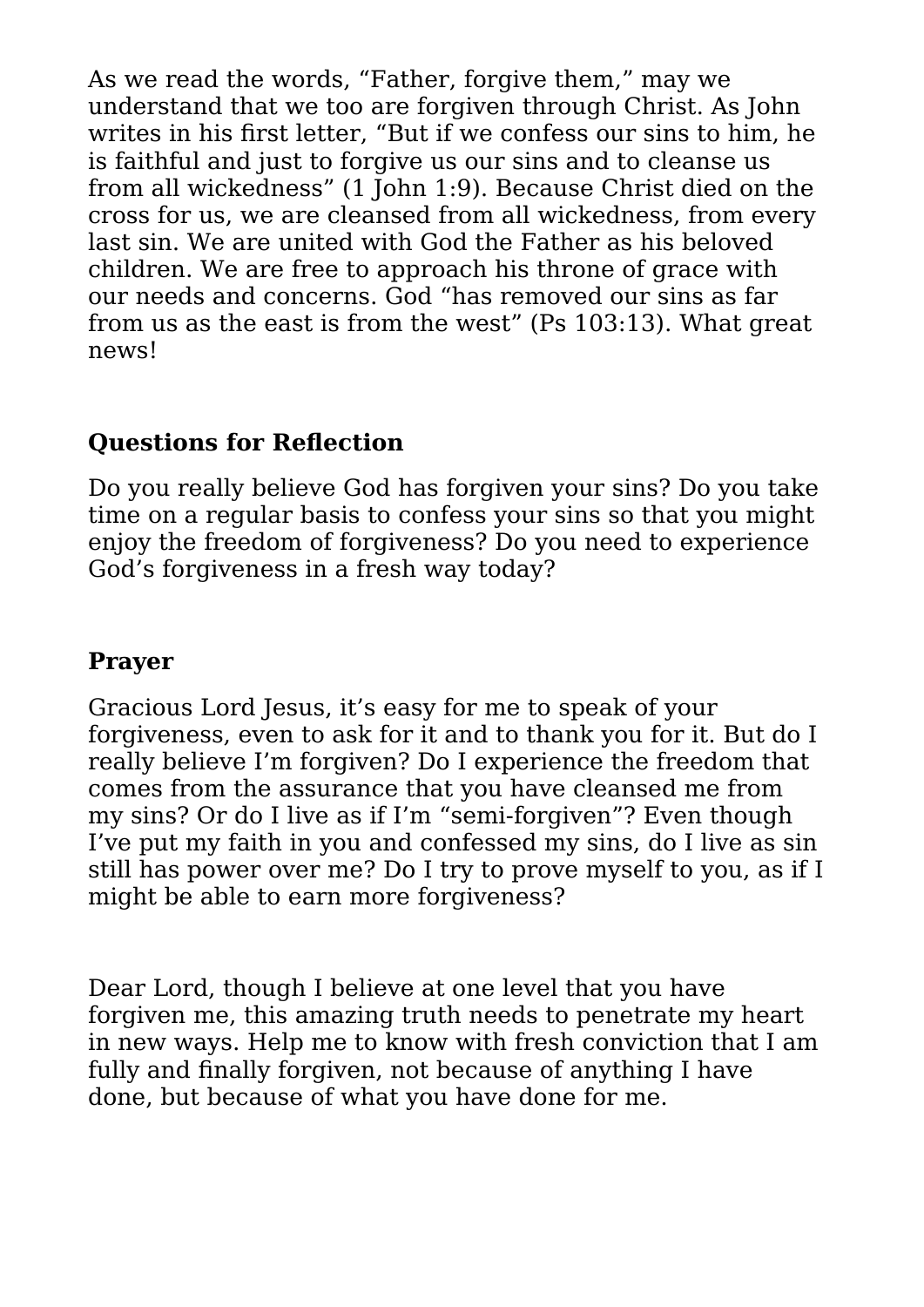As we read the words, "Father, forgive them," may we understand that we too are forgiven through Christ. As John writes in his first letter, "But if we confess our sins to him, he is faithful and just to forgive us our sins and to cleanse us from all wickedness" (1 John 1:9). Because Christ died on the cross for us, we are cleansed from all wickedness, from every last sin. We are united with God the Father as his beloved children. We are free to approach his throne of grace with our needs and concerns. God "has removed our sins as far from us as the east is from the west" (Ps 103:13). What great news!

#### **Questions for Reflection**

Do you really believe God has forgiven your sins? Do you take time on a regular basis to confess your sins so that you might enjoy the freedom of forgiveness? Do you need to experience God's forgiveness in a fresh way today?

#### **Prayer**

Gracious Lord Jesus, it's easy for me to speak of your forgiveness, even to ask for it and to thank you for it. But do I really believe I'm forgiven? Do I experience the freedom that comes from the assurance that you have cleansed me from my sins? Or do I live as if I'm "semi-forgiven"? Even though I've put my faith in you and confessed my sins, do I live as sin still has power over me? Do I try to prove myself to you, as if I might be able to earn more forgiveness?

Dear Lord, though I believe at one level that you have forgiven me, this amazing truth needs to penetrate my heart in new ways. Help me to know with fresh conviction that I am fully and finally forgiven, not because of anything I have done, but because of what you have done for me.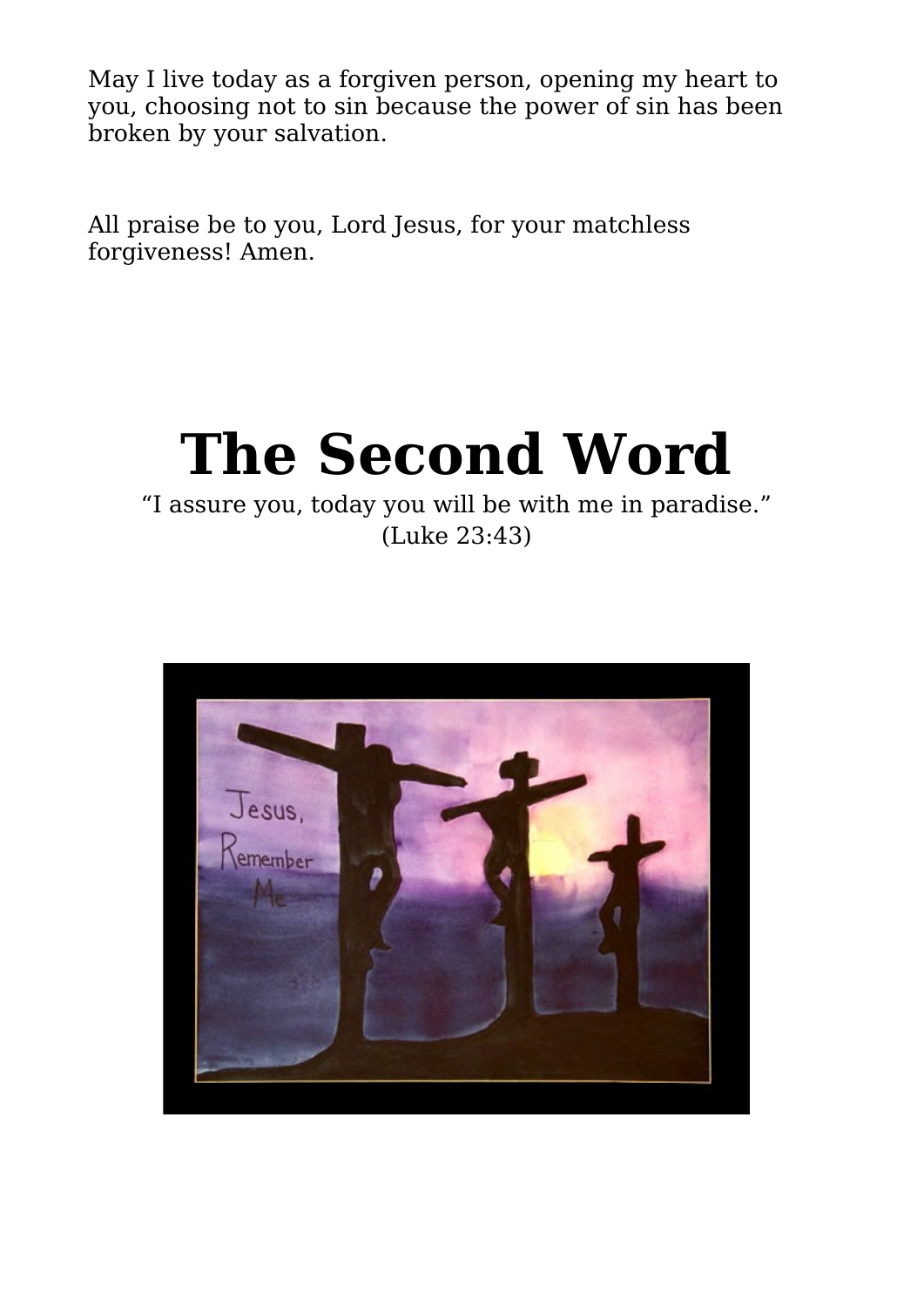May I live today as a forgiven person, opening my heart to you, choosing not to sin because the power of sin has been broken by your salvation.

All praise be to you, Lord Jesus, for your matchless forgiveness! Amen.

## **The Second Word**

#### "I assure you, today you will be with me in paradise." (Luke 23:43)

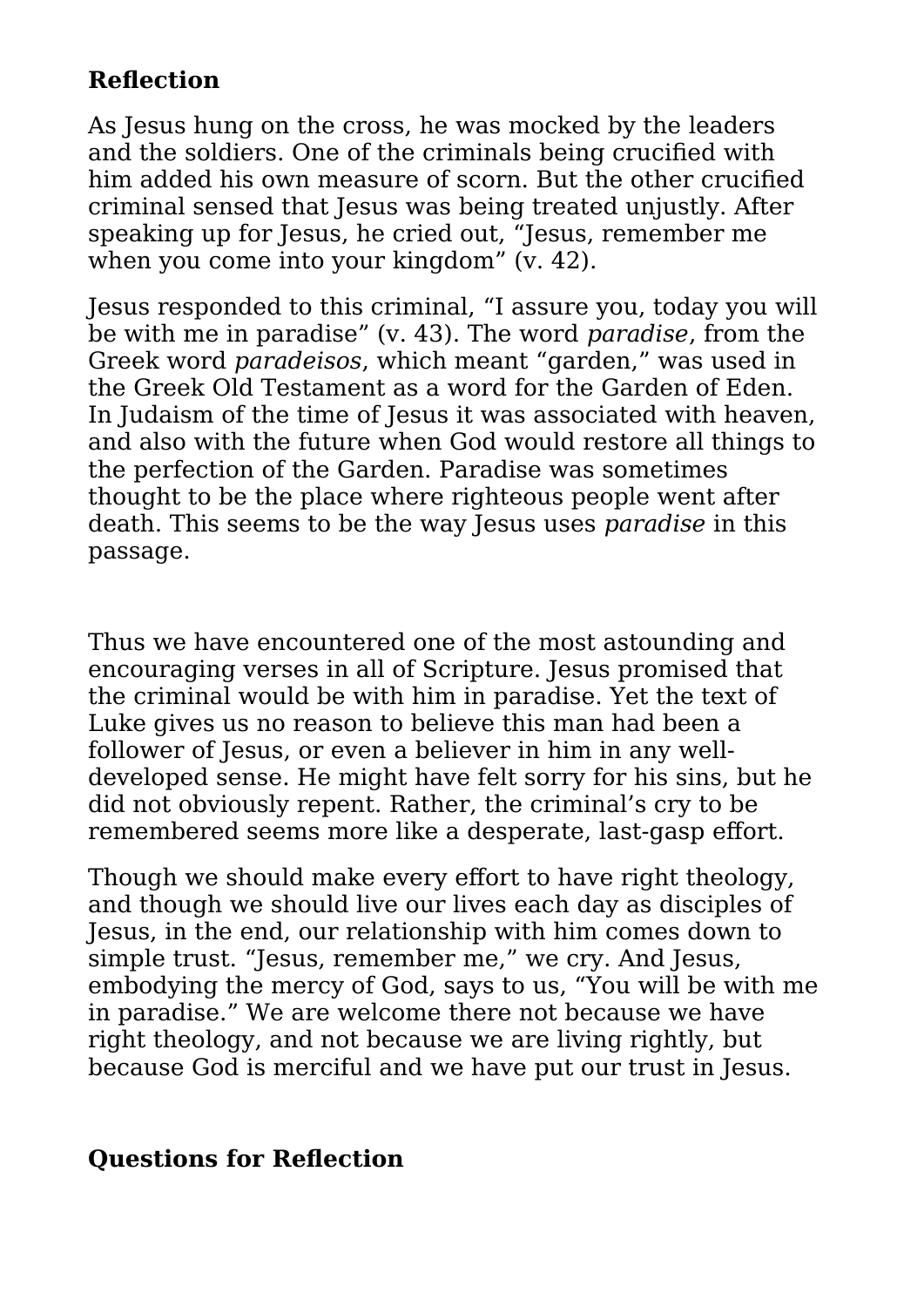#### **Reflection**

As Jesus hung on the cross, he was mocked by the leaders and the soldiers. One of the criminals being crucified with him added his own measure of scorn. But the other crucified criminal sensed that Jesus was being treated unjustly. After speaking up for Jesus, he cried out, "Jesus, remember me when you come into your kingdom" (v. 42).

Jesus responded to this criminal, "I assure you, today you will be with me in paradise" (v. 43). The word *paradise*, from the Greek word *paradeisos*, which meant "garden," was used in the Greek Old Testament as a word for the Garden of Eden. In Judaism of the time of Jesus it was associated with heaven. and also with the future when God would restore all things to the perfection of the Garden. Paradise was sometimes thought to be the place where righteous people went after death. This seems to be the way Jesus uses *paradise* in this passage.

Thus we have encountered one of the most astounding and encouraging verses in all of Scripture. Jesus promised that the criminal would be with him in paradise. Yet the text of Luke gives us no reason to believe this man had been a follower of Jesus, or even a believer in him in any welldeveloped sense. He might have felt sorry for his sins, but he did not obviously repent. Rather, the criminal's cry to be remembered seems more like a desperate, last-gasp effort.

Though we should make every effort to have right theology, and though we should live our lives each day as disciples of Jesus, in the end, our relationship with him comes down to simple trust. "Jesus, remember me," we cry. And Jesus, embodying the mercy of God, says to us, "You will be with me in paradise." We are welcome there not because we have right theology, and not because we are living rightly, but because God is merciful and we have put our trust in Jesus.

#### **Questions for Reflection**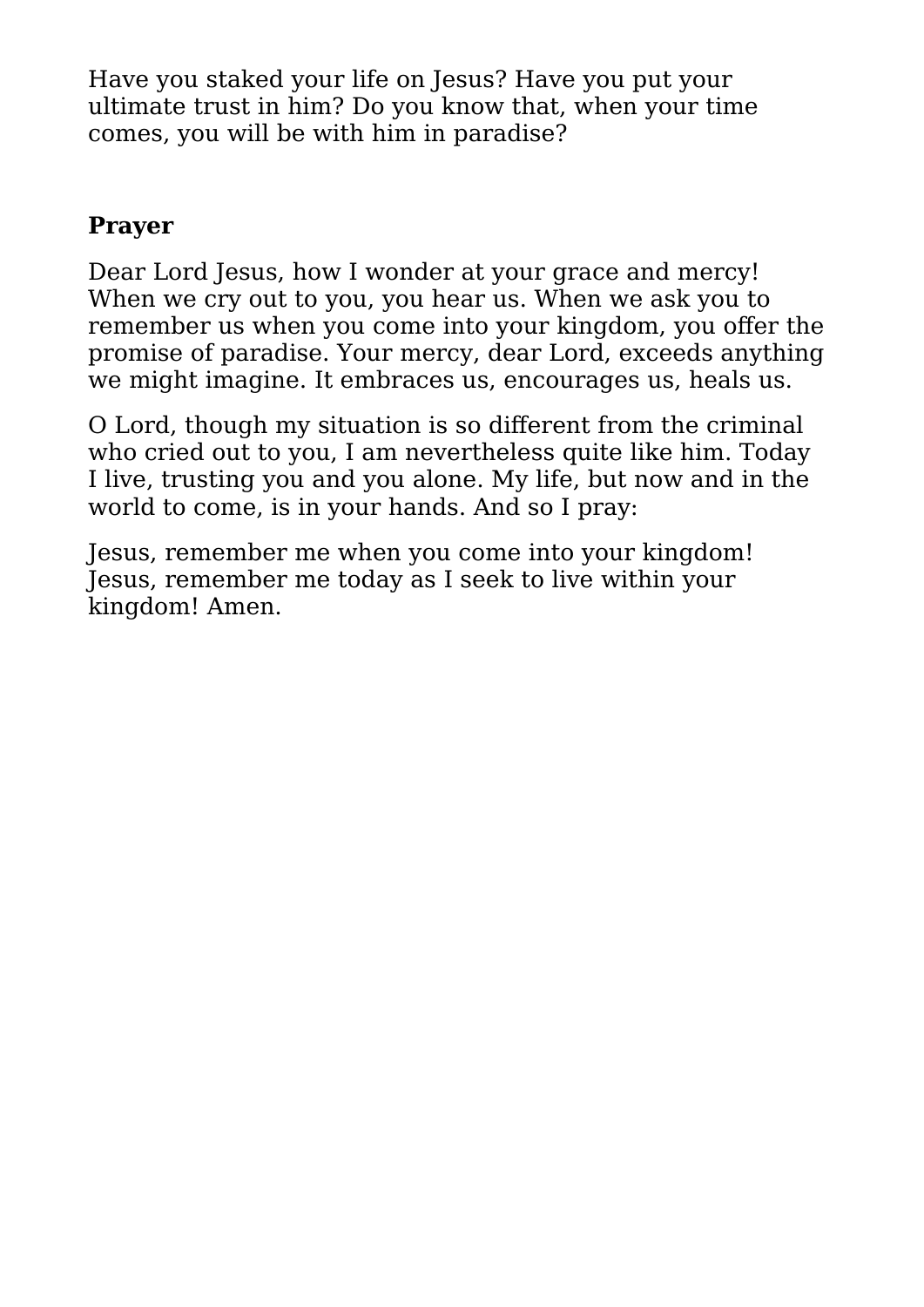Have you staked your life on Jesus? Have you put your ultimate trust in him? Do you know that, when your time comes, you will be with him in paradise?

#### **Prayer**

Dear Lord Jesus, how I wonder at your grace and mercy! When we cry out to you, you hear us. When we ask you to remember us when you come into your kingdom, you offer the promise of paradise. Your mercy, dear Lord, exceeds anything we might imagine. It embraces us, encourages us, heals us.

O Lord, though my situation is so different from the criminal who cried out to you, I am nevertheless quite like him. Today I live, trusting you and you alone. My life, but now and in the world to come, is in your hands. And so I pray:

Jesus, remember me when you come into your kingdom! Jesus, remember me today as I seek to live within your kingdom! Amen.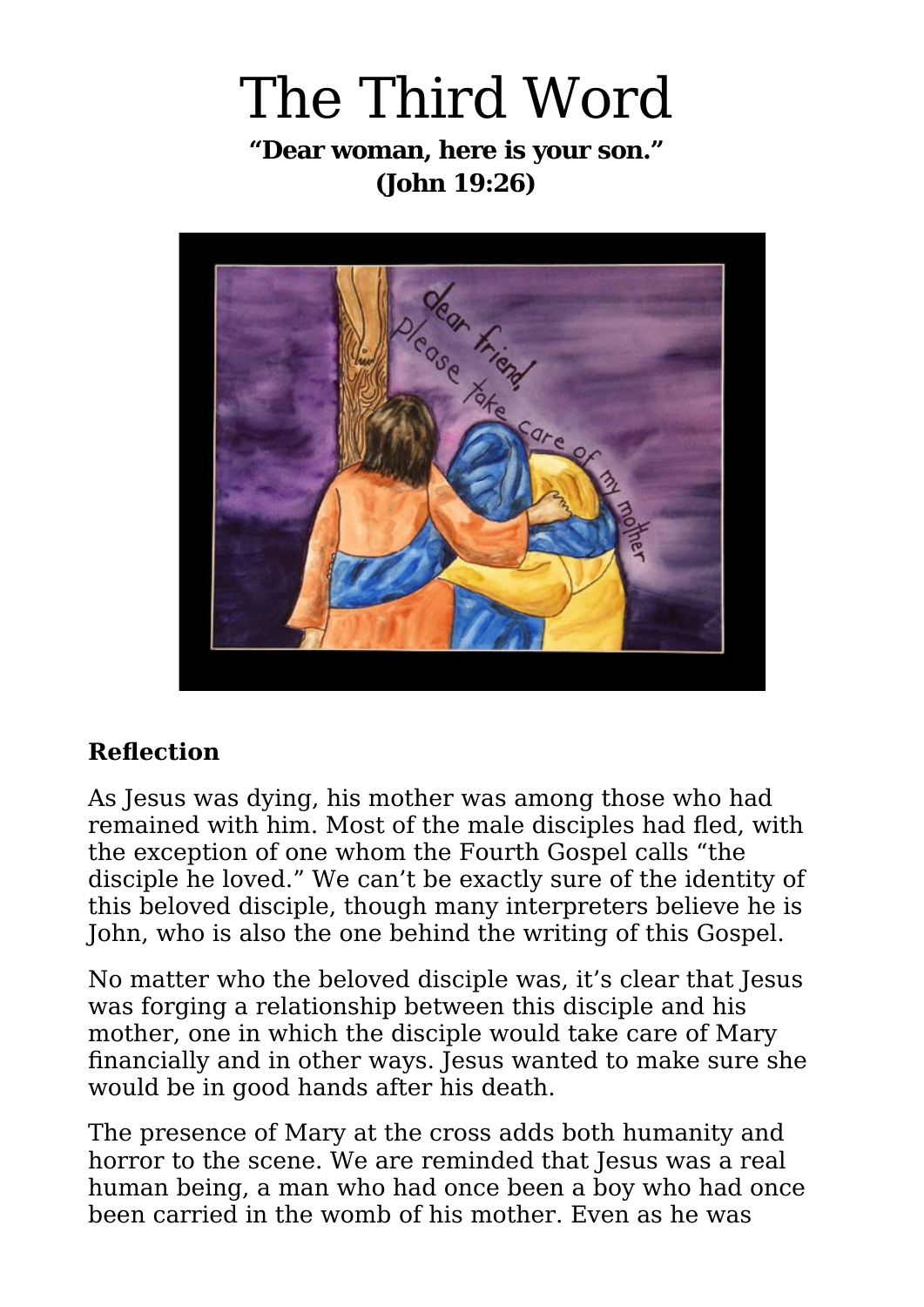### The Third Word **"Dear woman, here is your son." (John 19:26)**



#### **Reflection**

As Jesus was dying, his mother was among those who had remained with him. Most of the male disciples had fled, with the exception of one whom the Fourth Gospel calls "the disciple he loved." We can't be exactly sure of the identity of this beloved disciple, though many interpreters believe he is John, who is also the one behind the writing of this Gospel.

No matter who the beloved disciple was, it's clear that Jesus was forging a relationship between this disciple and his mother, one in which the disciple would take care of Mary financially and in other ways. Jesus wanted to make sure she would be in good hands after his death.

The presence of Mary at the cross adds both humanity and horror to the scene. We are reminded that Jesus was a real human being, a man who had once been a boy who had once been carried in the womb of his mother. Even as he was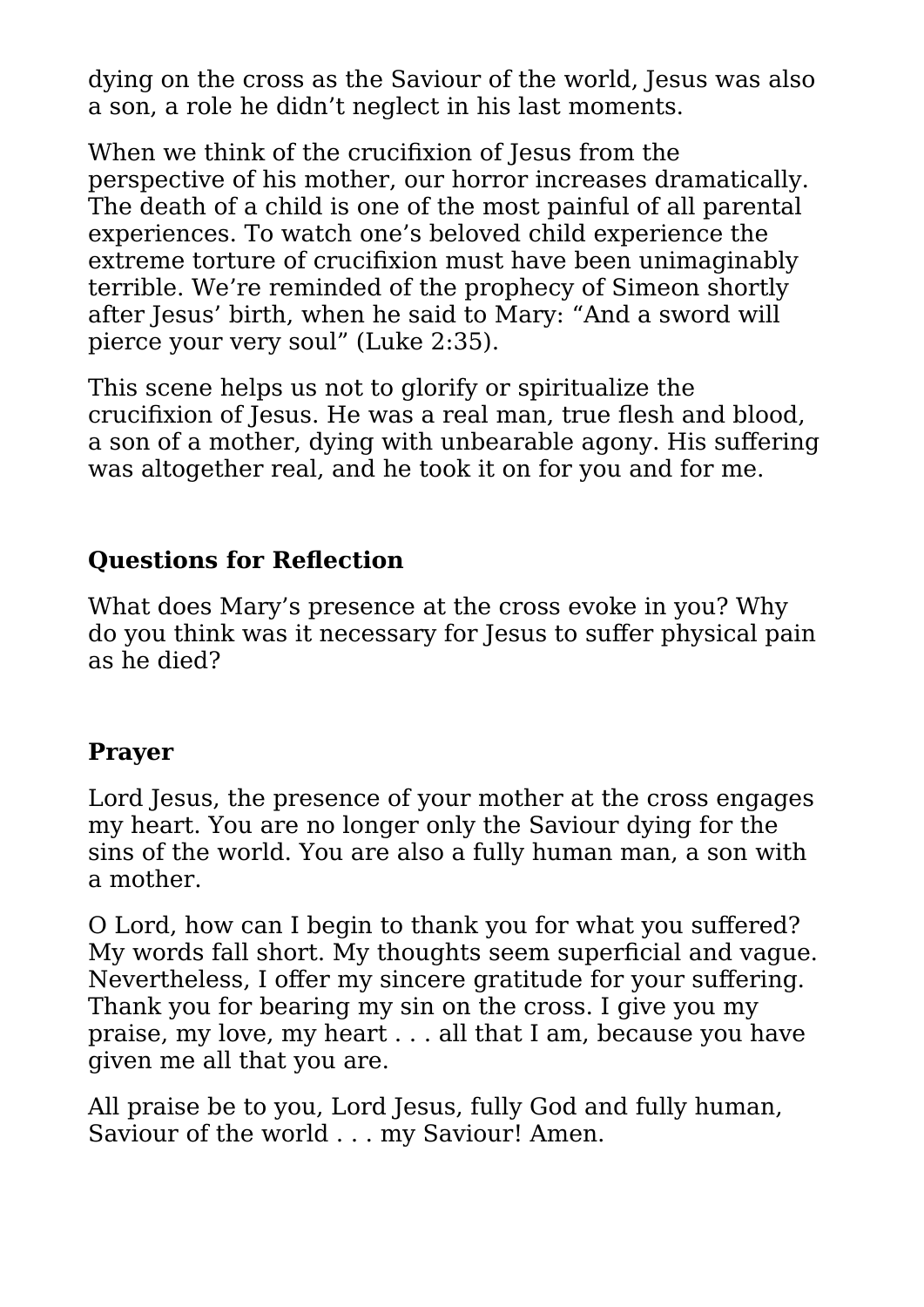dying on the cross as the Saviour of the world, Jesus was also a son, a role he didn't neglect in his last moments.

When we think of the crucifixion of Jesus from the perspective of his mother, our horror increases dramatically. The death of a child is one of the most painful of all parental experiences. To watch one's beloved child experience the extreme torture of crucifixion must have been unimaginably terrible. We're reminded of the prophecy of Simeon shortly after Jesus' birth, when he said to Mary: "And a sword will pierce your very soul" (Luke 2:35).

This scene helps us not to glorify or spiritualize the crucifixion of Jesus. He was a real man, true flesh and blood, a son of a mother, dying with unbearable agony. His suffering was altogether real, and he took it on for you and for me.

#### **Questions for Reflection**

What does Mary's presence at the cross evoke in you? Why do you think was it necessary for Jesus to suffer physical pain as he died?

#### **Prayer**

Lord Jesus, the presence of your mother at the cross engages my heart. You are no longer only the Saviour dying for the sins of the world. You are also a fully human man, a son with a mother.

O Lord, how can I begin to thank you for what you suffered? My words fall short. My thoughts seem superficial and vague. Nevertheless, I offer my sincere gratitude for your suffering. Thank you for bearing my sin on the cross. I give you my praise, my love, my heart . . . all that I am, because you have given me all that you are.

All praise be to you, Lord Jesus, fully God and fully human, Saviour of the world . . . my Saviour! Amen.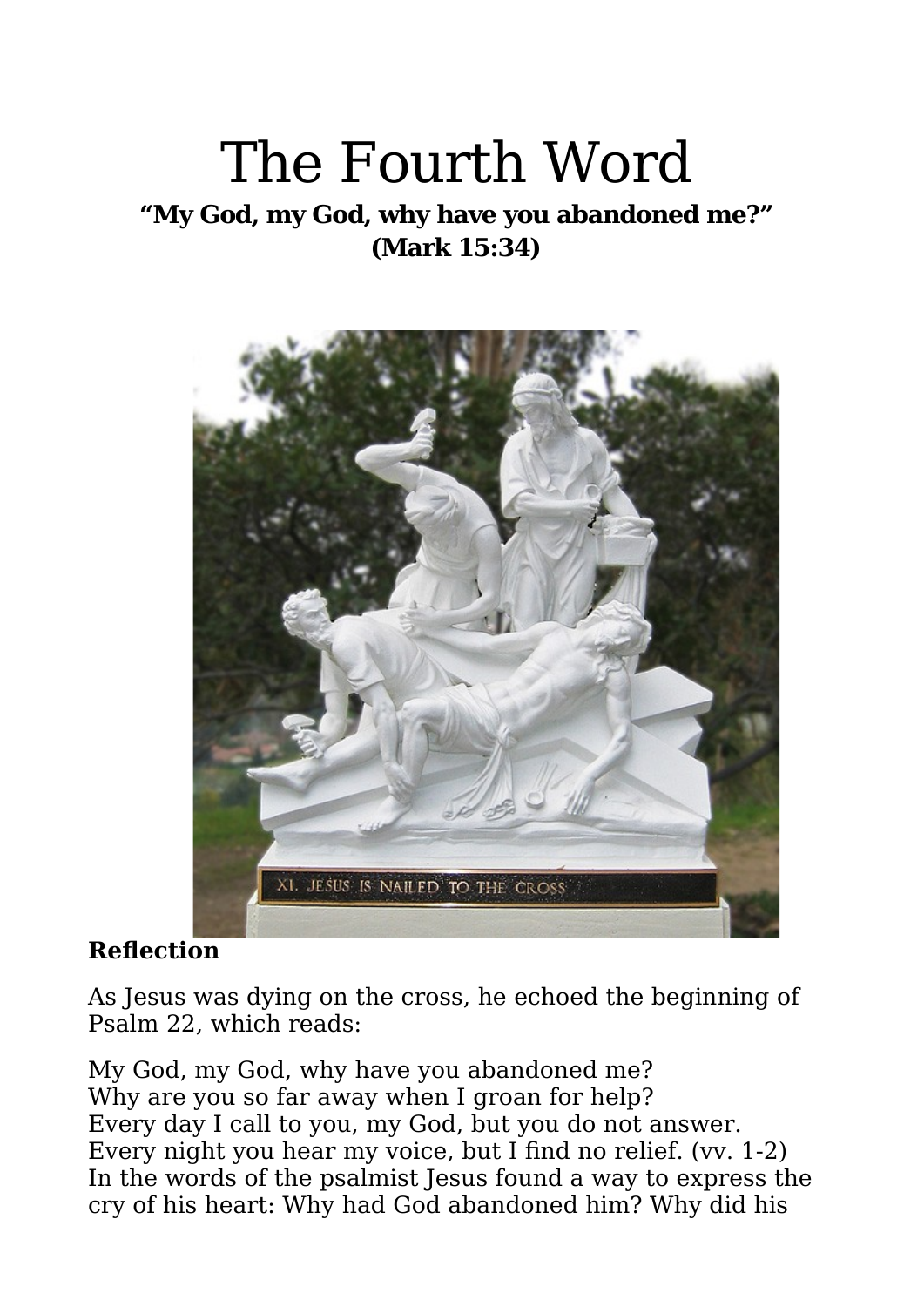## The Fourth Word

**"My God, my God, why have you abandoned me?" (Mark 15:34)**



#### **Reflection**

As Jesus was dying on the cross, he echoed the beginning of Psalm 22, which reads:

My God, my God, why have you abandoned me? Why are you so far away when I groan for help? Every day I call to you, my God, but you do not answer. Every night you hear my voice, but I find no relief. (vv. 1-2) In the words of the psalmist Jesus found a way to express the cry of his heart: Why had God abandoned him? Why did his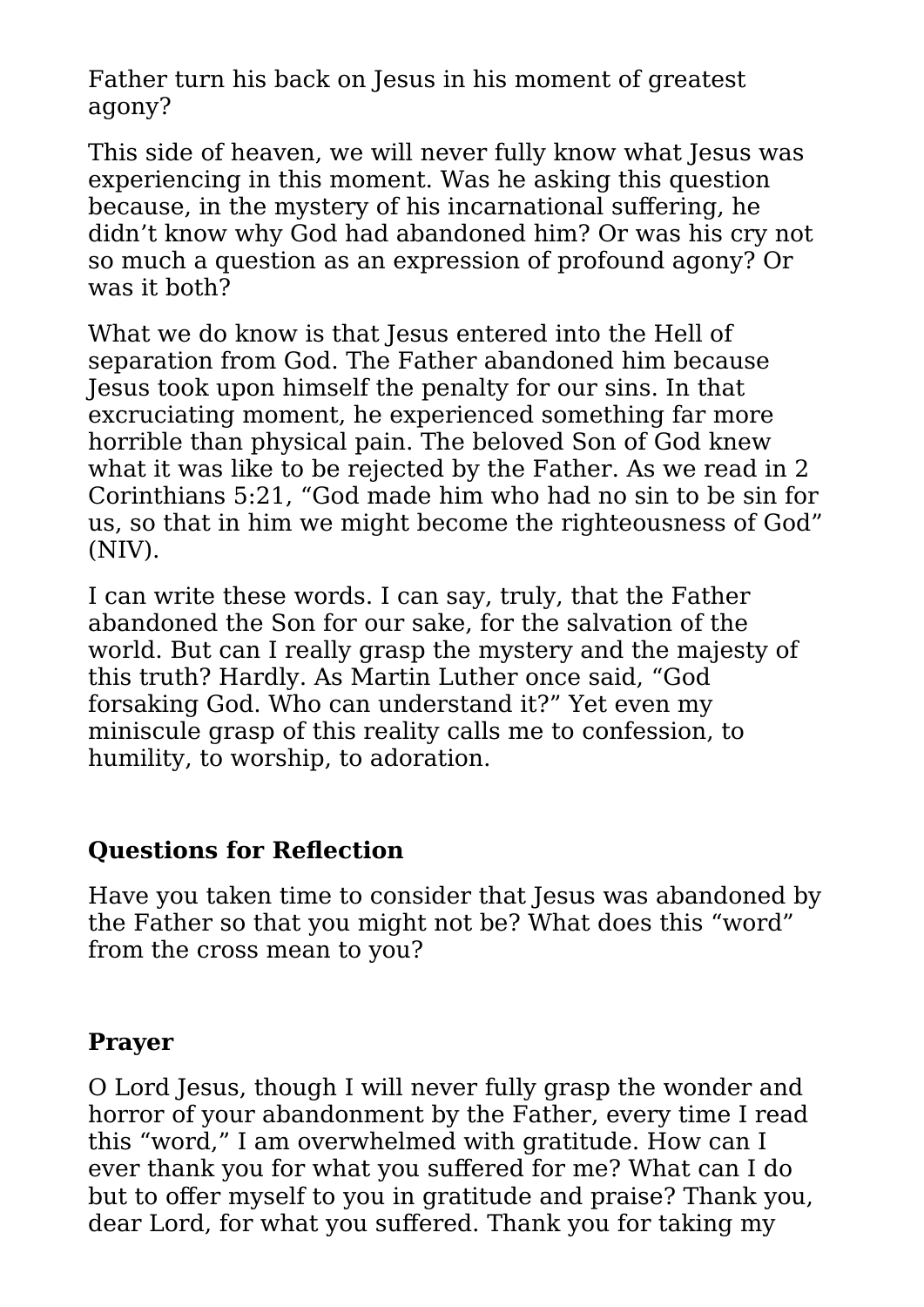Father turn his back on Jesus in his moment of greatest agony?

This side of heaven, we will never fully know what Jesus was experiencing in this moment. Was he asking this question because, in the mystery of his incarnational suffering, he didn't know why God had abandoned him? Or was his cry not so much a question as an expression of profound agony? Or was it both?

What we do know is that Jesus entered into the Hell of separation from God. The Father abandoned him because Jesus took upon himself the penalty for our sins. In that excruciating moment, he experienced something far more horrible than physical pain. The beloved Son of God knew what it was like to be rejected by the Father. As we read in 2 Corinthians 5:21, "God made him who had no sin to be sin for us, so that in him we might become the righteousness of God" (NIV).

I can write these words. I can say, truly, that the Father abandoned the Son for our sake, for the salvation of the world. But can I really grasp the mystery and the majesty of this truth? Hardly. As Martin Luther once said, "God forsaking God. Who can understand it?" Yet even my miniscule grasp of this reality calls me to confession, to humility, to worship, to adoration.

#### **Questions for Reflection**

Have you taken time to consider that Jesus was abandoned by the Father so that you might not be? What does this "word" from the cross mean to you?

#### **Prayer**

O Lord Jesus, though I will never fully grasp the wonder and horror of your abandonment by the Father, every time I read this "word," I am overwhelmed with gratitude. How can I ever thank you for what you suffered for me? What can I do but to offer myself to you in gratitude and praise? Thank you, dear Lord, for what you suffered. Thank you for taking my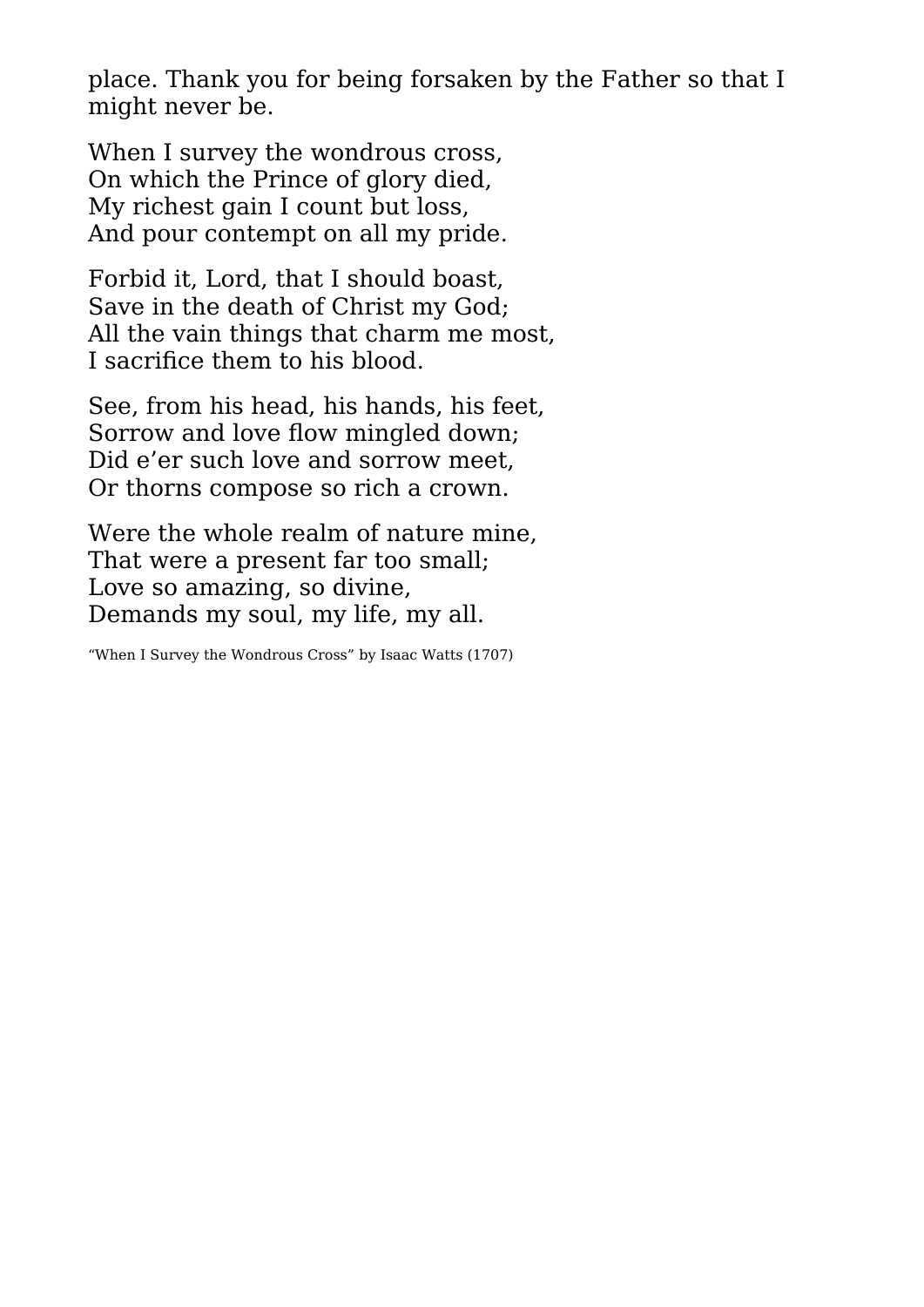place. Thank you for being forsaken by the Father so that I might never be.

When I survey the wondrous cross, On which the Prince of glory died, My richest gain I count but loss, And pour contempt on all my pride.

Forbid it, Lord, that I should boast, Save in the death of Christ my God; All the vain things that charm me most, I sacrifice them to his blood.

See, from his head, his hands, his feet, Sorrow and love flow mingled down; Did e'er such love and sorrow meet, Or thorns compose so rich a crown.

Were the whole realm of nature mine, That were a present far too small; Love so amazing, so divine, Demands my soul, my life, my all.

"When I Survey the Wondrous Cross" by Isaac Watts (1707)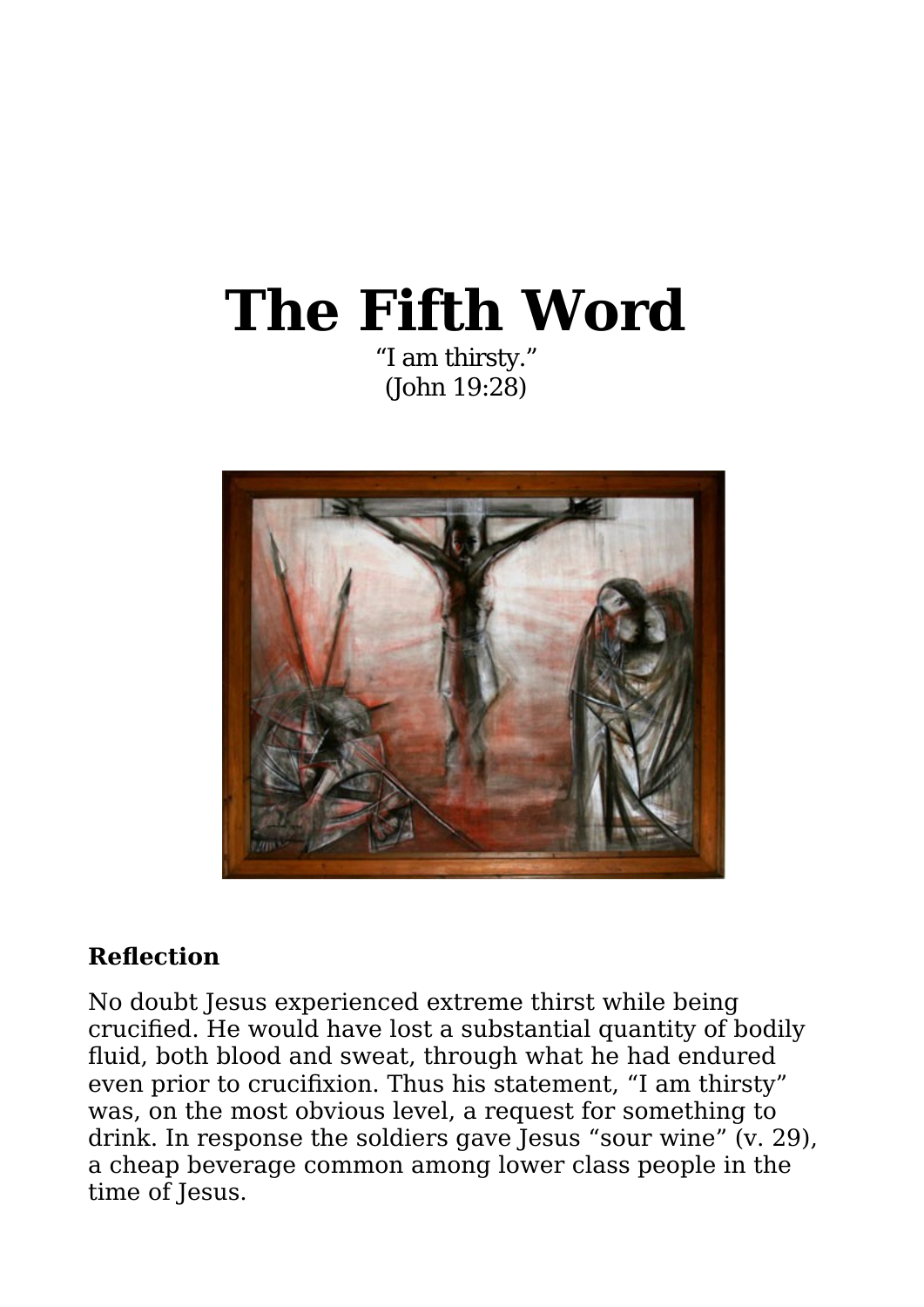## **The Fifth Word** "I am thirsty."

(John 19:28)



#### **Reflection**

No doubt Jesus experienced extreme thirst while being crucified. He would have lost a substantial quantity of bodily fluid, both blood and sweat, through what he had endured even prior to crucifixion. Thus his statement, "I am thirsty" was, on the most obvious level, a request for something to drink. In response the soldiers gave Jesus "sour wine" (v. 29), a cheap beverage common among lower class people in the time of Jesus.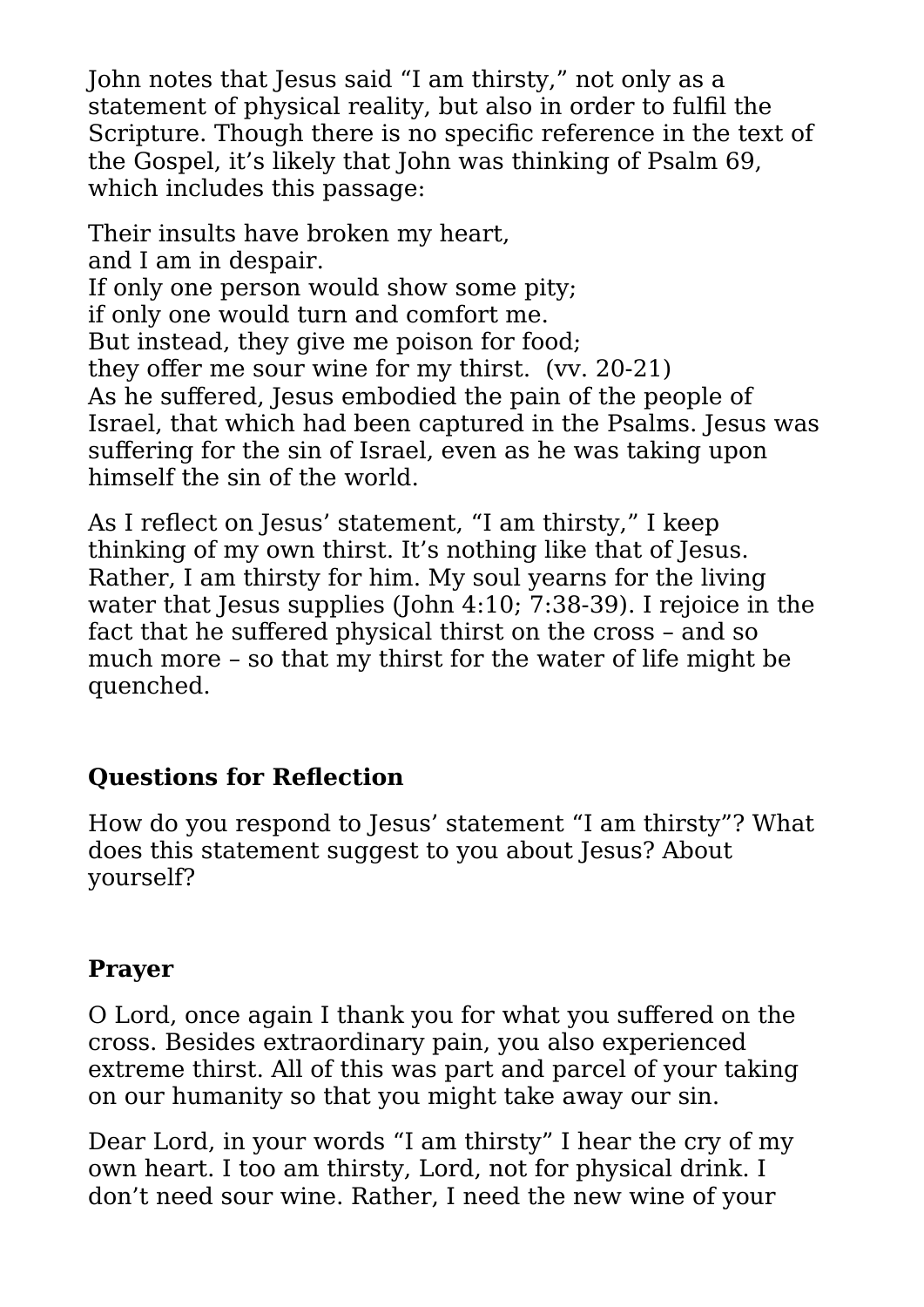John notes that Jesus said "I am thirsty," not only as a statement of physical reality, but also in order to fulfil the Scripture. Though there is no specific reference in the text of the Gospel, it's likely that John was thinking of Psalm 69, which includes this passage:

Their insults have broken my heart, and I am in despair. If only one person would show some pity; if only one would turn and comfort me. But instead, they give me poison for food; they offer me sour wine for my thirst. (vv. 20-21) As he suffered, Jesus embodied the pain of the people of Israel, that which had been captured in the Psalms. Jesus was suffering for the sin of Israel, even as he was taking upon himself the sin of the world.

As I reflect on Jesus' statement, "I am thirsty," I keep thinking of my own thirst. It's nothing like that of Jesus. Rather, I am thirsty for him. My soul yearns for the living water that Jesus supplies (John 4:10: 7:38-39). I rejoice in the fact that he suffered physical thirst on the cross – and so much more – so that my thirst for the water of life might be quenched.

#### **Questions for Reflection**

How do you respond to Jesus' statement "I am thirsty"? What does this statement suggest to you about Jesus? About yourself?

#### **Prayer**

O Lord, once again I thank you for what you suffered on the cross. Besides extraordinary pain, you also experienced extreme thirst. All of this was part and parcel of your taking on our humanity so that you might take away our sin.

Dear Lord, in your words "I am thirsty" I hear the cry of my own heart. I too am thirsty, Lord, not for physical drink. I don't need sour wine. Rather, I need the new wine of your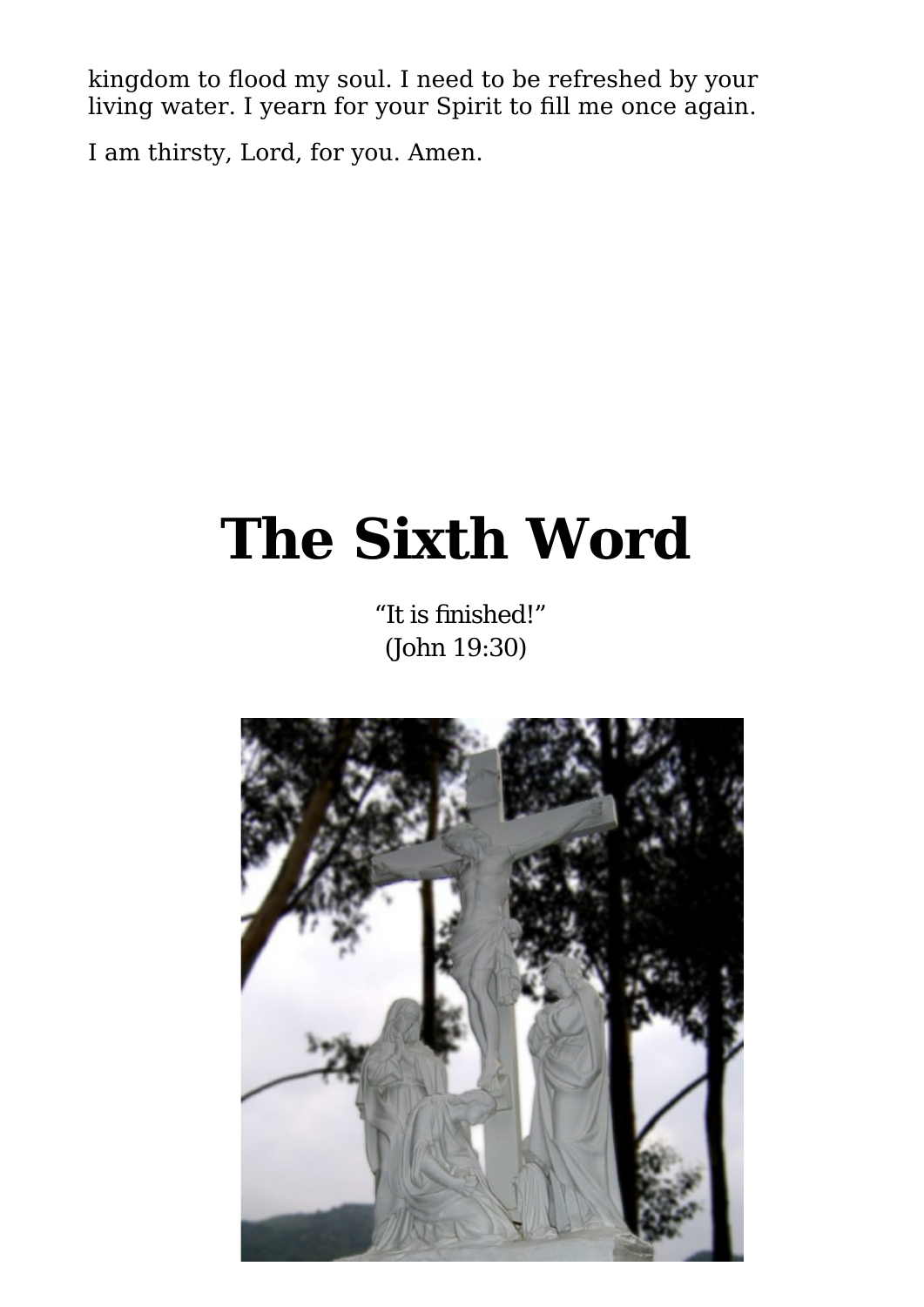kingdom to flood my soul. I need to be refreshed by your living water. I yearn for your Spirit to fill me once again.

I am thirsty, Lord, for you. Amen.

# **The Sixth Word**

"It is finished!" (John 19:30)

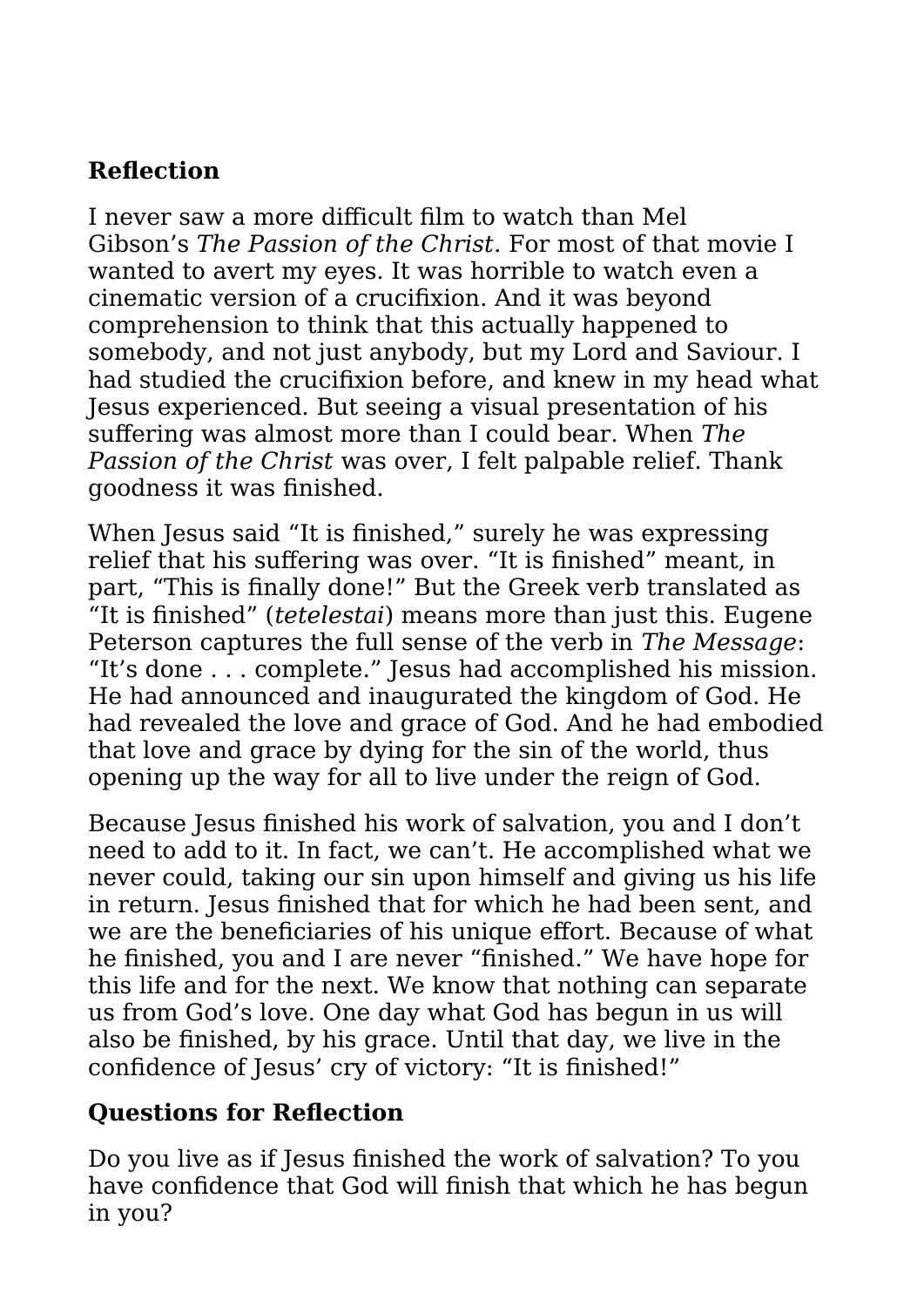#### **Reflection**

I never saw a more difficult film to watch than Mel Gibson's *The Passion of the Christ*. For most of that movie I wanted to avert my eyes. It was horrible to watch even a cinematic version of a crucifixion. And it was beyond comprehension to think that this actually happened to somebody, and not just anybody, but my Lord and Saviour. I had studied the crucifixion before, and knew in my head what Jesus experienced. But seeing a visual presentation of his suffering was almost more than I could bear. When *The Passion of the Christ* was over, I felt palpable relief. Thank goodness it was finished.

When Jesus said "It is finished," surely he was expressing relief that his suffering was over. "It is finished" meant, in part, "This is finally done!" But the Greek verb translated as "It is finished" (*tetelestai*) means more than just this. Eugene Peterson captures the full sense of the verb in *The Message*: "It's done . . . complete." Jesus had accomplished his mission. He had announced and inaugurated the kingdom of God. He had revealed the love and grace of God. And he had embodied that love and grace by dying for the sin of the world, thus opening up the way for all to live under the reign of God.

Because Jesus finished his work of salvation, you and I don't need to add to it. In fact, we can't. He accomplished what we never could, taking our sin upon himself and giving us his life in return. Jesus finished that for which he had been sent, and we are the beneficiaries of his unique effort. Because of what he finished, you and I are never "finished." We have hope for this life and for the next. We know that nothing can separate us from God's love. One day what God has begun in us will also be finished, by his grace. Until that day, we live in the confidence of Jesus' cry of victory: "It is finished!"

#### **Questions for Reflection**

Do you live as if Jesus finished the work of salvation? To you have confidence that God will finish that which he has begun in you?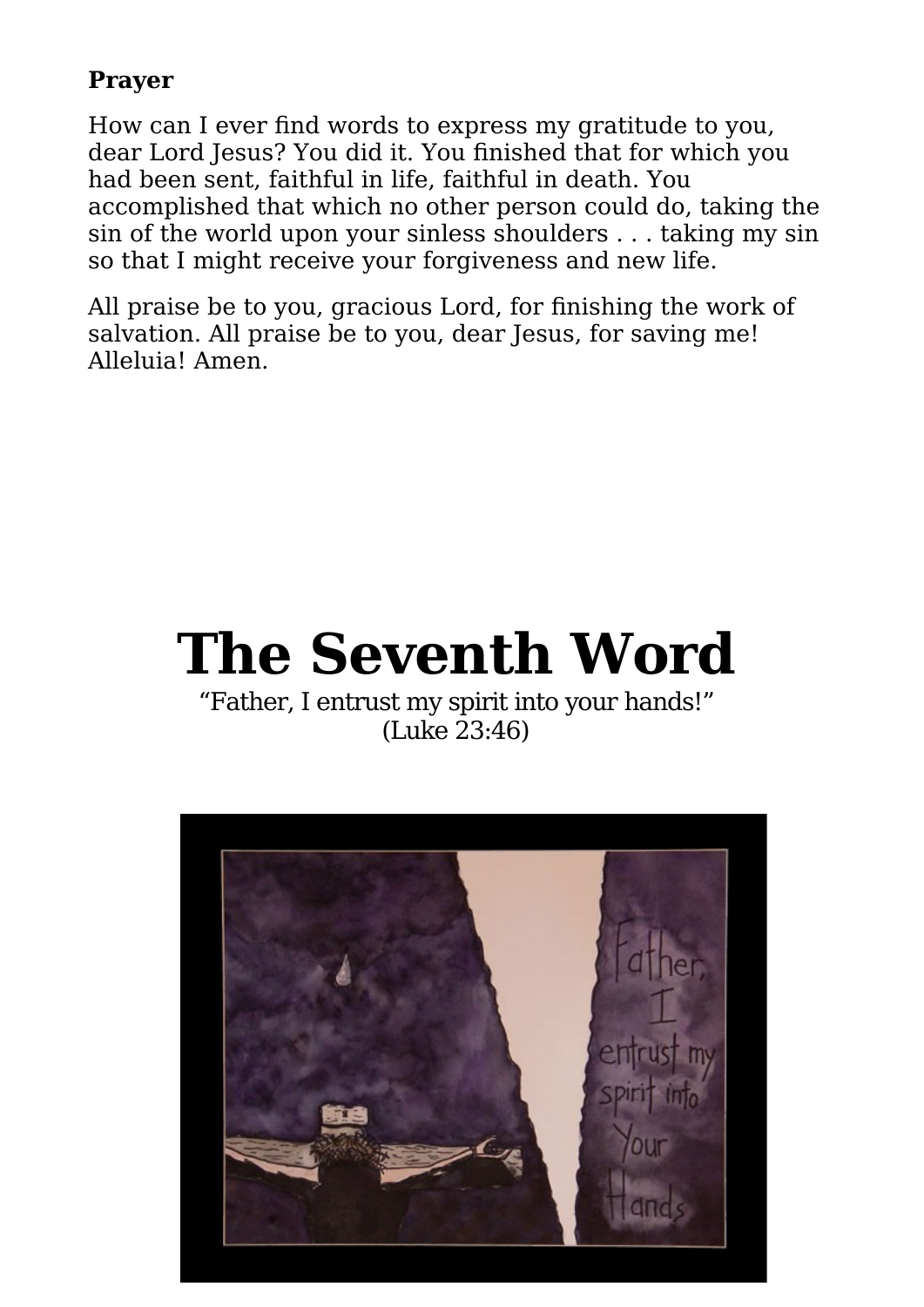#### **Prayer**

How can I ever find words to express my gratitude to you, dear Lord Jesus? You did it. You finished that for which you had been sent, faithful in life, faithful in death. You accomplished that which no other person could do, taking the sin of the world upon your sinless shoulders . . . taking my sin so that I might receive your forgiveness and new life.

All praise be to you, gracious Lord, for finishing the work of salvation. All praise be to you, dear Jesus, for saving me! Alleluia! Amen.



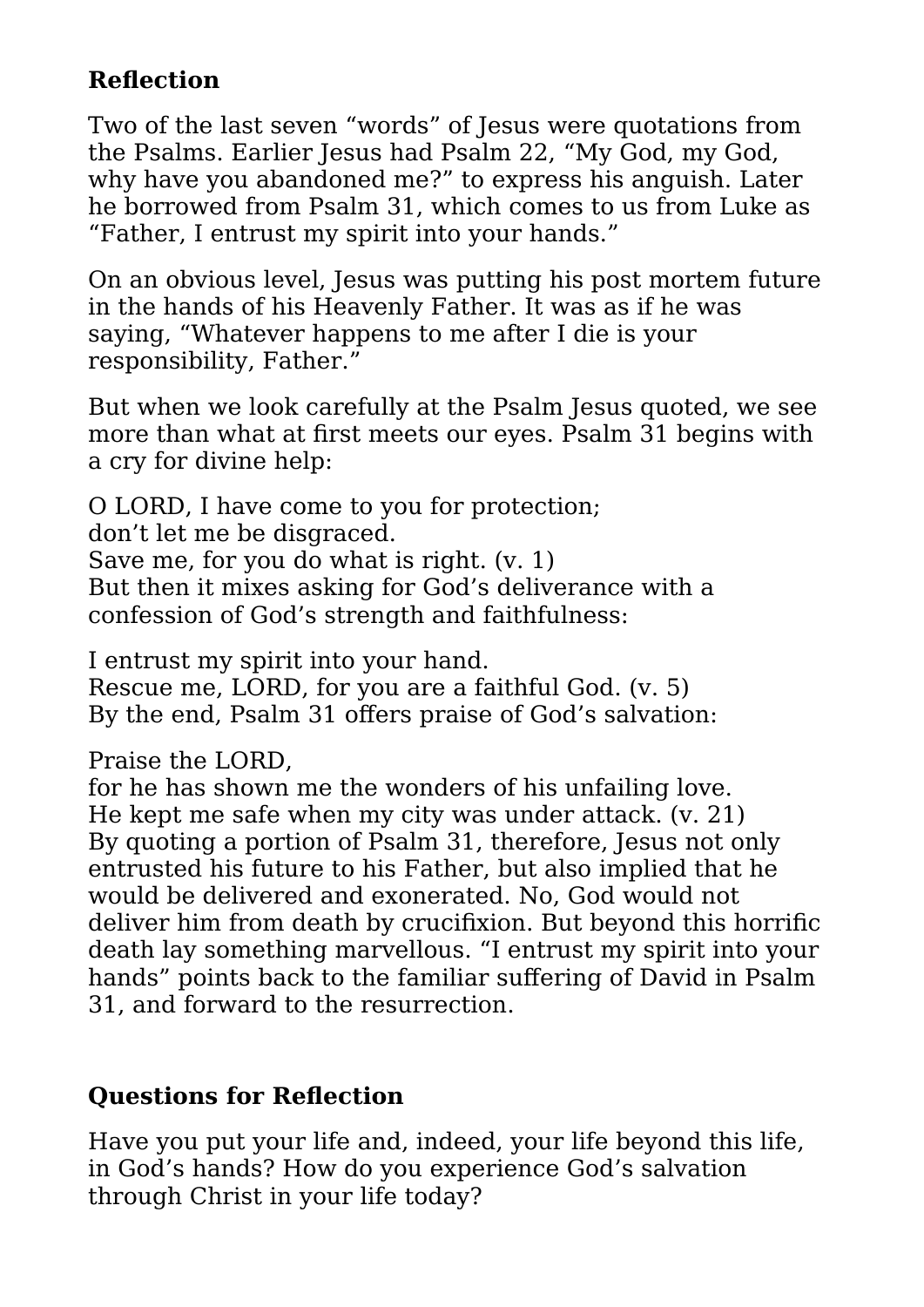#### **Reflection**

Two of the last seven "words" of Jesus were quotations from the Psalms. Earlier Jesus had Psalm 22, "My God, my God, why have you abandoned me?" to express his anguish. Later he borrowed from Psalm 31, which comes to us from Luke as "Father, I entrust my spirit into your hands."

On an obvious level, Jesus was putting his post mortem future in the hands of his Heavenly Father. It was as if he was saying, "Whatever happens to me after I die is your responsibility, Father."

But when we look carefully at the Psalm Jesus quoted, we see more than what at first meets our eyes. Psalm 31 begins with a cry for divine help:

O LORD, I have come to you for protection; don't let me be disgraced. Save me, for you do what is right. (v. 1) But then it mixes asking for God's deliverance with a confession of God's strength and faithfulness:

I entrust my spirit into your hand. Rescue me, LORD, for you are a faithful God. (v. 5) By the end, Psalm 31 offers praise of God's salvation:

Praise the LORD,

for he has shown me the wonders of his unfailing love. He kept me safe when my city was under attack. (v. 21) By quoting a portion of Psalm 31, therefore, Jesus not only entrusted his future to his Father, but also implied that he would be delivered and exonerated. No, God would not deliver him from death by crucifixion. But beyond this horrific death lay something marvellous. "I entrust my spirit into your hands" points back to the familiar suffering of David in Psalm 31, and forward to the resurrection.

#### **Questions for Reflection**

Have you put your life and, indeed, your life beyond this life, in God's hands? How do you experience God's salvation through Christ in your life today?